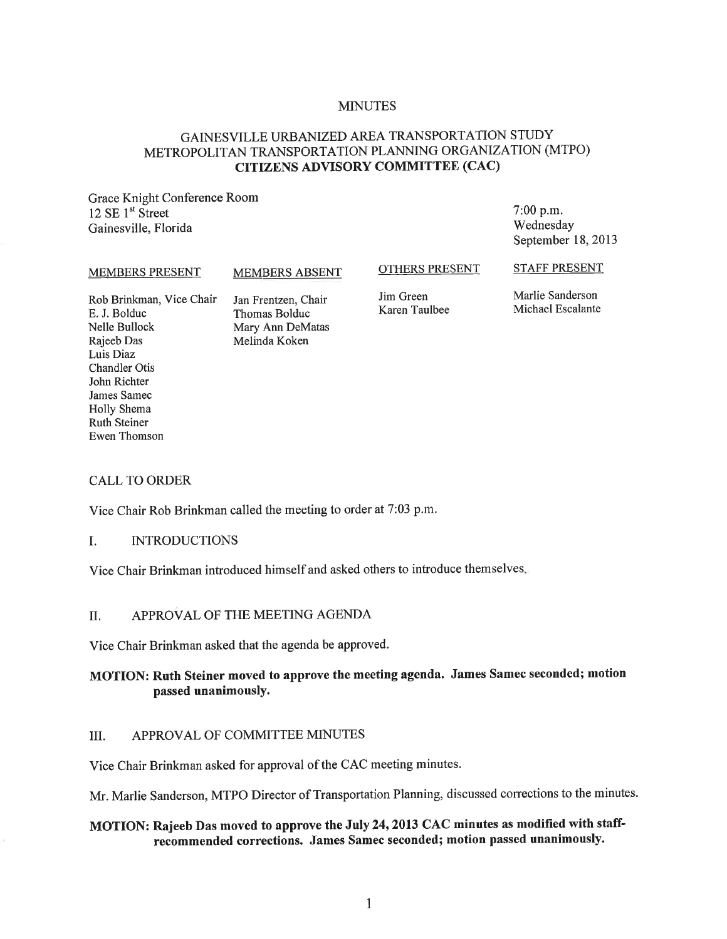## **MINUTES**

## GAINESVILLE URBANIZED AREA TRANSPORTATION STUDY METROPOLITAN TRANSPORTATION PLANNING ORGANIZATION (MTPO) CITIZENS ADVISORY COMMITTEE (CAC)

Grace Knight Conference Room 12 SE  $1<sup>st</sup>$  Street Gainesville, Florida

7:00 p.m. Wednesday September 18, 2013

#### MEMBERS PRESENT

#### MEMBERS ABSENT

#### OTHERS PRESENT

STAFF PRESENT

Rob Brinkman, Vice Chair E. J. Bolduc Nelle Bullock Rajeeb Das Luis Diaz Chandler Otis John Richter James Samec Holly Shema Ruth Steiner Ewen Thomson

Jan Frentzen, Chair Thomas Bolduc Mary Ann DeMatas Melinda Koken

Jim Green Karen Taulbee

Marlie Sanderson Michael Escalante

#### CALL TO ORDER

Vice Chair Rob Brinkman called the meeting to order at 7:03 p.m.

#### I. INTRODUCTIONS

Vice Chair Brinkman introduced himself and asked others to introduce themselves.

# II. APPROVAL OF THE MEETING AGENDA

Vice Chair Brinkman asked that the agenda be approved.

# MOTION: Ruth Steiner moved to approve the meeting agenda. James Samec seconded; motion passed unanimously.

#### III. APPROVAL OF COMMITTEE MINUTES

Vice Chair Brinkman asked for approval of the CAC meeting minutes.

Mr. Marlie Sanderson, MTPO Director of Transportation Planning, discussed corrections to the minutes.

# MOTION: Rajeeb Das moved to approve the July 24, 2013 CAC minutes as modified with staffrecommended corrections. James Samec seconded; motion passed unanimously.